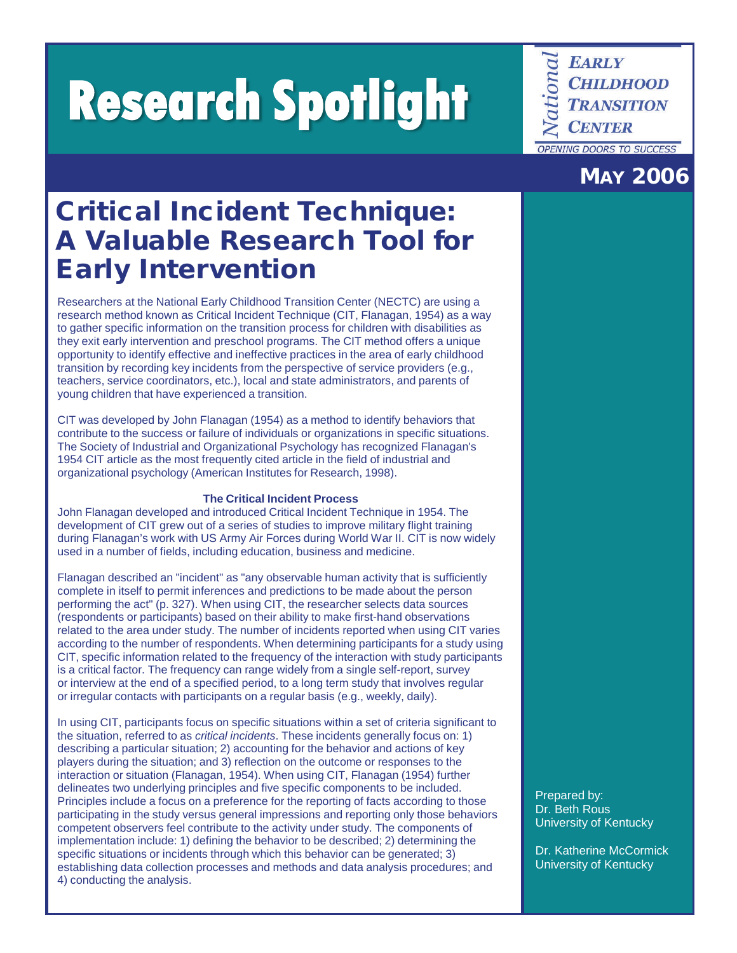**Research Spotlight**

**EARLY CHILDHOOD TRANSITION CENTER OPENING DOORS TO SUCCESS** 

# MAY 2006

# Critical Incident Technique: A Valuable Research Tool for Early Intervention

Researchers at the National Early Childhood Transition Center (NECTC) are using a research method known as Critical Incident Technique (CIT, Flanagan, 1954) as a way to gather specific information on the transition process for children with disabilities as they exit early intervention and preschool programs. The CIT method offers a unique opportunity to identify effective and ineffective practices in the area of early childhood transition by recording key incidents from the perspective of service providers (e.g., teachers, service coordinators, etc.), local and state administrators, and parents of young children that have experienced a transition.

CIT was developed by John Flanagan (1954) as a method to identify behaviors that contribute to the success or failure of individuals or organizations in specific situations. The Society of Industrial and Organizational Psychology has recognized Flanagan's 1954 CIT article as the most frequently cited article in the field of industrial and organizational psychology (American Institutes for Research, 1998).

## **The Critical Incident Process**

John Flanagan developed and introduced Critical Incident Technique in 1954. The development of CIT grew out of a series of studies to improve military flight training during Flanagan's work with US Army Air Forces during World War II. CIT is now widely used in a number of fields, including education, business and medicine.

Flanagan described an "incident" as "any observable human activity that is sufficiently complete in itself to permit inferences and predictions to be made about the person performing the act" (p. 327). When using CIT, the researcher selects data sources (respondents or participants) based on their ability to make first-hand observations related to the area under study. The number of incidents reported when using CIT varies according to the number of respondents. When determining participants for a study using CIT, specific information related to the frequency of the interaction with study participants is a critical factor. The frequency can range widely from a single self-report, survey or interview at the end of a specified period, to a long term study that involves regular or irregular contacts with participants on a regular basis (e.g., weekly, daily).

In using CIT, participants focus on specific situations within a set of criteria significant to the situation, referred to as *critical incidents*. These incidents generally focus on: 1) describing a particular situation; 2) accounting for the behavior and actions of key players during the situation; and 3) reflection on the outcome or responses to the interaction or situation (Flanagan, 1954). When using CIT, Flanagan (1954) further delineates two underlying principles and five specific components to be included. Principles include a focus on a preference for the reporting of facts according to those participating in the study versus general impressions and reporting only those behaviors competent observers feel contribute to the activity under study. The components of implementation include: 1) defining the behavior to be described; 2) determining the specific situations or incidents through which this behavior can be generated; 3) establishing data collection processes and methods and data analysis procedures; and 4) conducting the analysis.

Prepared by: Dr. Beth Rous University of Kentucky

Dr. Katherine McCormick University of Kentucky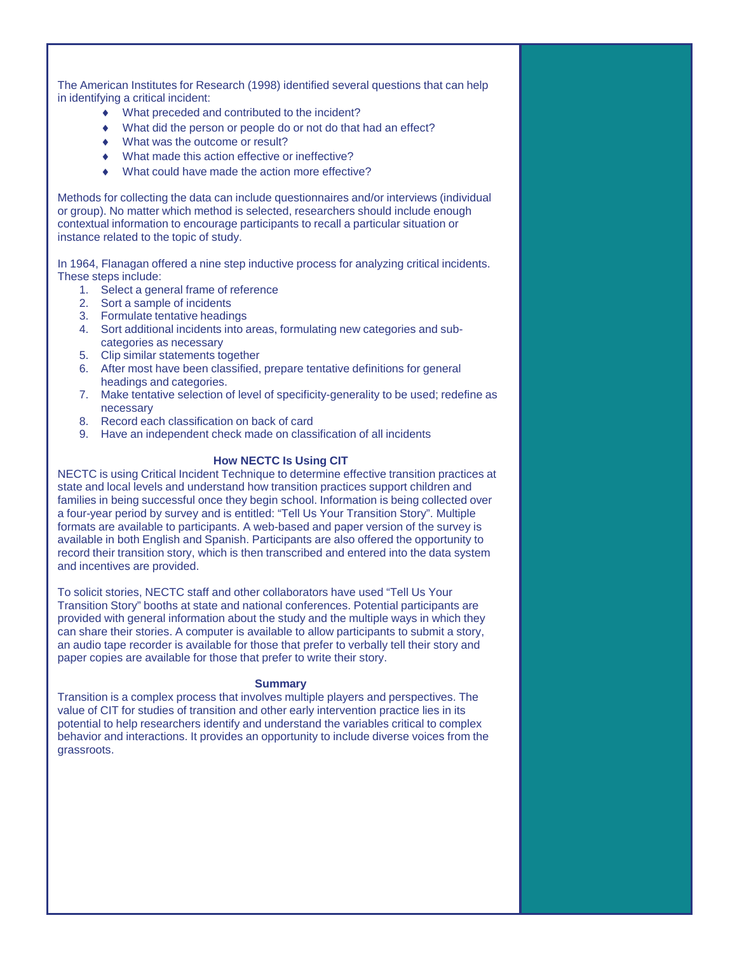The American Institutes for Research (1998) identified several questions that can help in identifying a critical incident:

- ♦ What preceded and contributed to the incident?
- ♦ What did the person or people do or not do that had an effect?
- What was the outcome or result?
- What made this action effective or ineffective?
- What could have made the action more effective?

Methods for collecting the data can include questionnaires and/or interviews (individual or group). No matter which method is selected, researchers should include enough contextual information to encourage participants to recall a particular situation or instance related to the topic of study.

In 1964, Flanagan offered a nine step inductive process for analyzing critical incidents. These steps include:

- 1. Select a general frame of reference
- 2. Sort a sample of incidents
- 3. Formulate tentative headings
- 4. Sort additional incidents into areas, formulating new categories and subcategories as necessary
- 5. Clip similar statements together
- 6. After most have been classified, prepare tentative definitions for general headings and categories.
- 7. Make tentative selection of level of specificity-generality to be used; redefine as necessary
- 8. Record each classification on back of card
- 9. Have an independent check made on classification of all incidents

#### **How NECTC Is Using CIT**

NECTC is using Critical Incident Technique to determine effective transition practices at state and local levels and understand how transition practices support children and families in being successful once they begin school. Information is being collected over a four-year period by survey and is entitled: "Tell Us Your Transition Story". Multiple formats are available to participants. A web-based and paper version of the survey is available in both English and Spanish. Participants are also offered the opportunity to record their transition story, which is then transcribed and entered into the data system and incentives are provided.

To solicit stories, NECTC staff and other collaborators have used "Tell Us Your Transition Story" booths at state and national conferences. Potential participants are provided with general information about the study and the multiple ways in which they can share their stories. A computer is available to allow participants to submit a story, an audio tape recorder is available for those that prefer to verbally tell their story and paper copies are available for those that prefer to write their story.

#### **Summary**

Transition is a complex process that involves multiple players and perspectives. The value of CIT for studies of transition and other early intervention practice lies in its potential to help researchers identify and understand the variables critical to complex behavior and interactions. It provides an opportunity to include diverse voices from the grassroots.